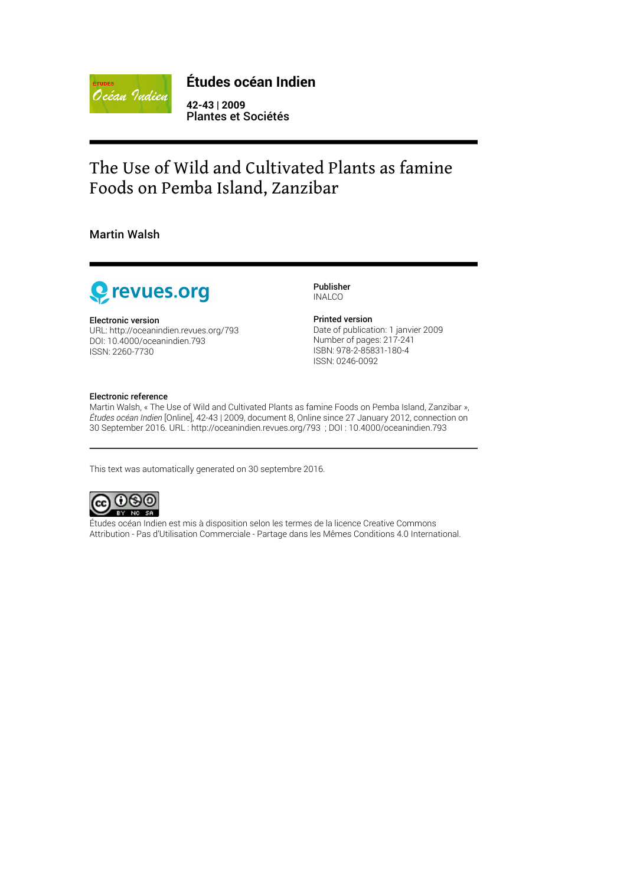

#### **Études océan Indien**

**42-43 | 2009** Plantes et Sociétés

## The Use of Wild and Cultivated Plants as famine Foods on Pemba Island, Zanzibar

Martin Walsh



Electronic version

URL:<http://oceanindien.revues.org/793> DOI: 10.4000/oceanindien.793 ISSN: 2260-7730

Publisher INALCO

#### Printed version

Date of publication: 1 janvier 2009 Number of pages: 217-241 ISBN: 978-2-85831-180-4 ISSN: 0246-0092

#### Electronic reference

Martin Walsh, « The Use of Wild and Cultivated Plants as famine Foods on Pemba Island, Zanzibar », *Études océan Indien* [Online], 42-43 | 2009, document 8, Online since 27 January 2012, connection on 30 September 2016. URL : http://oceanindien.revues.org/793 ; DOI : 10.4000/oceanindien.793

This text was automatically generated on 30 septembre 2016.



Études océan Indien est mis à disposition selon les termes de la [licence Creative Commons](http://creativecommons.org/licenses/by-nc-sa/4.0/) [Attribution - Pas d'Utilisation Commerciale - Partage dans les Mêmes Conditions 4.0 International.](http://creativecommons.org/licenses/by-nc-sa/4.0/)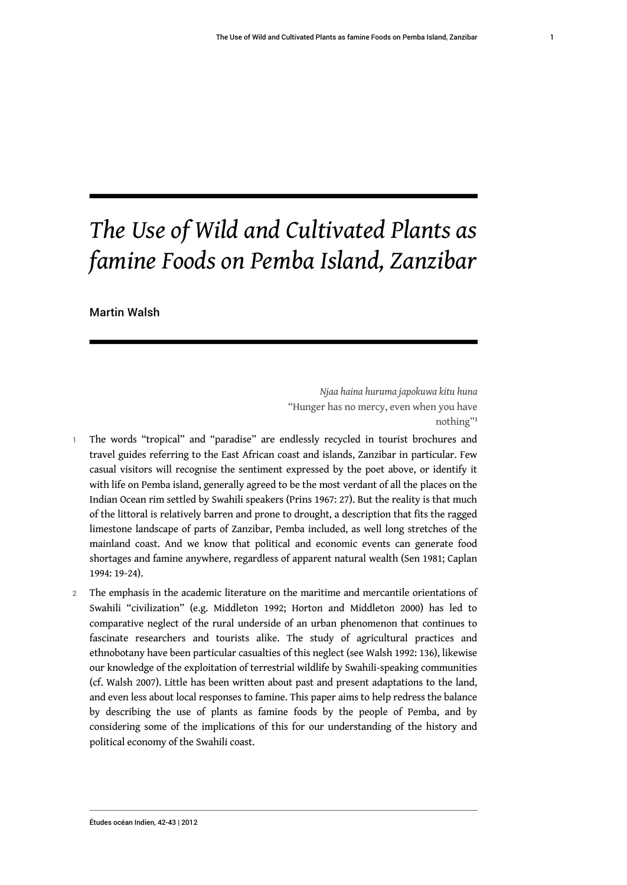# *The Use of Wild and Cultivated Plants as famine Foods on Pemba Island, Zanzibar*

Martin Walsh

<span id="page-1-0"></span>*Njaa haina huruma japokuwa kitu huna* "Hunger has no mercy, even when you have nothing"[1](#page-18-0)

- 1 The words "tropical" and "paradise" are endlessly recycled in tourist brochures and travel guides referring to the East African coast and islands, Zanzibar in particular. Few casual visitors will recognise the sentiment expressed by the poet above, or identify it with life on Pemba island, generally agreed to be the most verdant of all the places on the Indian Ocean rim settled by Swahili speakers (Prins 1967: 27). But the reality is that much of the littoral is relatively barren and prone to drought, a description that fits the ragged limestone landscape of parts of Zanzibar, Pemba included, as well long stretches of the mainland coast. And we know that political and economic events can generate food shortages and famine anywhere, regardless of apparent natural wealth (Sen 1981; Caplan 1994: 19-24).
- 2 The emphasis in the academic literature on the maritime and mercantile orientations of Swahili "civilization" (e.g. Middleton 1992; Horton and Middleton 2000) has led to comparative neglect of the rural underside of an urban phenomenon that continues to fascinate researchers and tourists alike. The study of agricultural practices and ethnobotany have been particular casualties of this neglect (see Walsh 1992: 136), likewise our knowledge of the exploitation of terrestrial wildlife by Swahili-speaking communities (cf. Walsh 2007). Little has been written about past and present adaptations to the land, and even less about local responses to famine. This paper aims to help redress the balance by describing the use of plants as famine foods by the people of Pemba, and by considering some of the implications of this for our understanding of the history and political economy of the Swahili coast.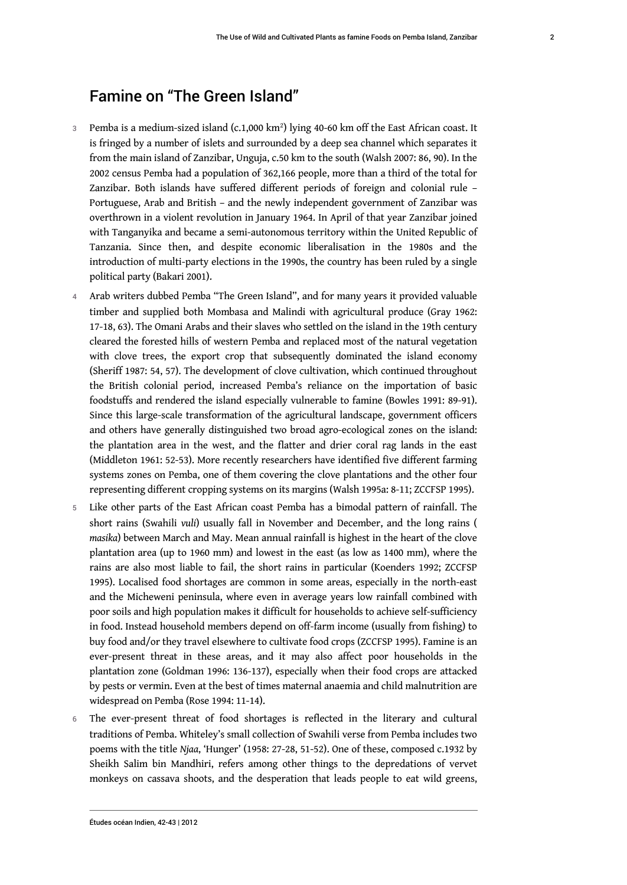## Famine on "The Green Island"

- $\,$   $\,$   $\,$   $\,$  Pemba is a medium-sized island (c.1,000 km $\,$   $\,$  ) lying 40-60 km off the East African coast. It is fringed by a number of islets and surrounded by a deep sea channel which separates it from the main island of Zanzibar, Unguja, c.50 km to the south (Walsh 2007: 86, 90). In the 2002 census Pemba had a population of 362,166 people, more than a third of the total for Zanzibar. Both islands have suffered different periods of foreign and colonial rule – Portuguese, Arab and British – and the newly independent government of Zanzibar was overthrown in a violent revolution in January 1964. In April of that year Zanzibar joined with Tanganyika and became a semi-autonomous territory within the United Republic of Tanzania. Since then, and despite economic liberalisation in the 1980s and the introduction of multi-party elections in the 1990s, the country has been ruled by a single political party (Bakari 2001).
- 4 Arab writers dubbed Pemba "The Green Island", and for many years it provided valuable timber and supplied both Mombasa and Malindi with agricultural produce (Gray 1962: 17-18, 63). The Omani Arabs and their slaves who settled on the island in the 19th century cleared the forested hills of western Pemba and replaced most of the natural vegetation with clove trees, the export crop that subsequently dominated the island economy (Sheriff 1987: 54, 57). The development of clove cultivation, which continued throughout the British colonial period, increased Pemba's reliance on the importation of basic foodstuffs and rendered the island especially vulnerable to famine (Bowles 1991: 89-91). Since this large-scale transformation of the agricultural landscape, government officers and others have generally distinguished two broad agro-ecological zones on the island: the plantation area in the west, and the flatter and drier coral rag lands in the east (Middleton 1961: 52-53). More recently researchers have identified five different farming systems zones on Pemba, one of them covering the clove plantations and the other four representing different cropping systems on its margins (Walsh 1995a: 8-11; ZCCFSP 1995).
- Like other parts of the East African coast Pemba has a bimodal pattern of rainfall. The short rains (Swahili *vuli*) usually fall in November and December, and the long rains ( *masika*) between March and May. Mean annual rainfall is highest in the heart of the clove plantation area (up to 1960 mm) and lowest in the east (as low as 1400 mm), where the rains are also most liable to fail, the short rains in particular (Koenders 1992; ZCCFSP 1995). Localised food shortages are common in some areas, especially in the north-east and the Micheweni peninsula, where even in average years low rainfall combined with poor soils and high population makes it difficult for households to achieve self-sufficiency in food. Instead household members depend on off-farm income (usually from fishing) to buy food and/or they travel elsewhere to cultivate food crops (ZCCFSP 1995). Famine is an ever-present threat in these areas, and it may also affect poor households in the plantation zone (Goldman 1996: 136-137), especially when their food crops are attacked by pests or vermin. Even at the best of times maternal anaemia and child malnutrition are widespread on Pemba (Rose 1994: 11-14).
- 6 The ever-present threat of food shortages is reflected in the literary and cultural traditions of Pemba. Whiteley's small collection of Swahili verse from Pemba includes two poems with the title *Njaa*, 'Hunger' (1958: 27-28, 51-52). One of these, composed c.1932 by Sheikh Salim bin Mandhiri, refers among other things to the depredations of vervet monkeys on cassava shoots, and the desperation that leads people to eat wild greens,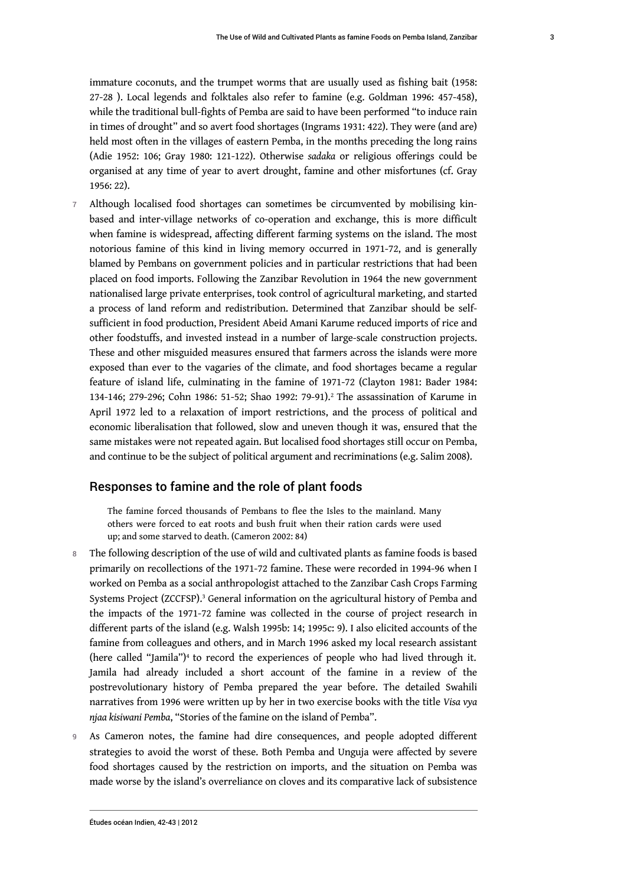immature coconuts, and the trumpet worms that are usually used as fishing bait (1958: 27-28 ). Local legends and folktales also refer to famine (e.g. Goldman 1996: 457-458), while the traditional bull-fights of Pemba are said to have been performed "to induce rain in times of drought" and so avert food shortages (Ingrams 1931: 422). They were (and are) held most often in the villages of eastern Pemba, in the months preceding the long rains (Adie 1952: 106; Gray 1980: 121-122). Otherwise *sadaka* or religious offerings could be organised at any time of year to avert drought, famine and other misfortunes (cf. Gray 1956: 22).

7 Although localised food shortages can sometimes be circumvented by mobilising kinbased and inter-village networks of co-operation and exchange, this is more difficult when famine is widespread, affecting different farming systems on the island. The most notorious famine of this kind in living memory occurred in 1971-72, and is generally blamed by Pembans on government policies and in particular restrictions that had been placed on food imports. Following the Zanzibar Revolution in 1964 the new government nationalised large private enterprises, took control of agricultural marketing, and started a process of land reform and redistribution. Determined that Zanzibar should be selfsufficient in food production, President Abeid Amani Karume reduced imports of rice and other foodstuffs, and invested instead in a number of large-scale construction projects. These and other misguided measures ensured that farmers across the islands were more exposed than ever to the vagaries of the climate, and food shortages became a regular feature of island life, culminating in the famine of 1971-72 (Clayton 1981: Bader 1984: 134-146; [2](#page-18-1)79-296; Cohn 1986: 51-52; Shao 1992: 79-91).<sup>2</sup> The assassination of Karume in April 1972 led to a relaxation of import restrictions, and the process of political and economic liberalisation that followed, slow and uneven though it was, ensured that the same mistakes were not repeated again. But localised food shortages still occur on Pemba, and continue to be the subject of political argument and recriminations (e.g. Salim 2008).

#### Responses to famine and the role of plant foods

<span id="page-3-1"></span><span id="page-3-0"></span>The famine forced thousands of Pembans to flee the Isles to the mainland. Many others were forced to eat roots and bush fruit when their ration cards were used up; and some starved to death. (Cameron 2002: 84)

- 8 The following description of the use of wild and cultivated plants as famine foods is based primarily on recollections of the 1971-72 famine. These were recorded in 1994-96 when I worked on Pemba as a social anthropologist attached to the Zanzibar Cash Crops Farming Systems Project (ZCCFSP).<sup>[3](#page-18-2)</sup> General information on the agricultural history of Pemba and the impacts of the 1971-72 famine was collected in the course of project research in different parts of the island (e.g. Walsh 1995b: 14; 1995c: 9). I also elicited accounts of the famine from colleagues and others, and in March 1996 asked my local research assistant (here called "Jamila")<sup>[4](#page-18-3)</sup> to record the experiences of people who had lived through it. Jamila had already included a short account of the famine in a review of the postrevolutionary history of Pemba prepared the year before. The detailed Swahili narratives from 1996 were written up by her in two exercise books with the title *Visa vya njaa kisiwani Pemba*, "Stories of the famine on the island of Pemba".
- <span id="page-3-2"></span>9 As Cameron notes, the famine had dire consequences, and people adopted different strategies to avoid the worst of these. Both Pemba and Unguja were affected by severe food shortages caused by the restriction on imports, and the situation on Pemba was made worse by the island's overreliance on cloves and its comparative lack of subsistence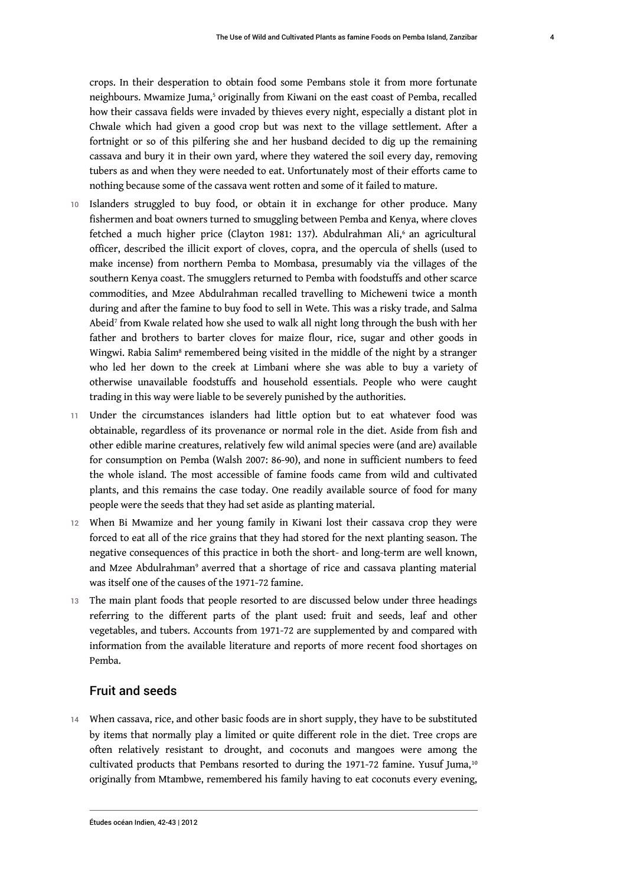<span id="page-4-0"></span>crops. In their desperation to obtain food some Pembans stole it from more fortunate neighbours. Mwamize Juma,<sup>[5](#page-18-4)</sup> originally from Kiwani on the east coast of Pemba, recalled how their cassava fields were invaded by thieves every night, especially a distant plot in Chwale which had given a good crop but was next to the village settlement. After a fortnight or so of this pilfering she and her husband decided to dig up the remaining cassava and bury it in their own yard, where they watered the soil every day, removing tubers as and when they were needed to eat. Unfortunately most of their efforts came to nothing because some of the cassava went rotten and some of it failed to mature.

- <span id="page-4-1"></span>10 Islanders struggled to buy food, or obtain it in exchange for other produce. Many fishermen and boat owners turned to smuggling between Pemba and Kenya, where cloves fetched a much higher price (Clayton 1981: 137). Abdulrahman Ali,<sup>[6](#page-18-5)</sup> an agricultural officer, described the illicit export of cloves, copra, and the opercula of shells (used to make incense) from northern Pemba to Mombasa, presumably via the villages of the southern Kenya coast. The smugglers returned to Pemba with foodstuffs and other scarce commodities, and Mzee Abdulrahman recalled travelling to Micheweni twice a month during and after the famine to buy food to sell in Wete. This was a risky trade, and Salma Abeid[7](#page-18-6) from Kwale related how she used to walk all night long through the bush with her father and brothers to barter cloves for maize flour, rice, sugar and other goods in Wingwi. Rabia Salim<sup>[8](#page-18-7)</sup> remembered being visited in the middle of the night by a stranger who led her down to the creek at Limbani where she was able to buy a variety of otherwise unavailable foodstuffs and household essentials. People who were caught trading in this way were liable to be severely punished by the authorities.
- <span id="page-4-3"></span><span id="page-4-2"></span>11 Under the circumstances islanders had little option but to eat whatever food was obtainable, regardless of its provenance or normal role in the diet. Aside from fish and other edible marine creatures, relatively few wild animal species were (and are) available for consumption on Pemba (Walsh 2007: 86-90), and none in sufficient numbers to feed the whole island. The most accessible of famine foods came from wild and cultivated plants, and this remains the case today. One readily available source of food for many people were the seeds that they had set aside as planting material.
- 12 When Bi Mwamize and her young family in Kiwani lost their cassava crop they were forced to eat all of the rice grains that they had stored for the next planting season. The negative consequences of this practice in both the short- and long-term are well known, and Mzee Abdulrahman<sup>[9](#page-18-8)</sup> averred that a shortage of rice and cassava planting material was itself one of the causes of the 1971-72 famine.
- <span id="page-4-4"></span>13 The main plant foods that people resorted to are discussed below under three headings referring to the different parts of the plant used: fruit and seeds, leaf and other vegetables, and tubers. Accounts from 1971-72 are supplemented by and compared with information from the available literature and reports of more recent food shortages on Pemba.

#### <span id="page-4-5"></span>Fruit and seeds

14 When cassava, rice, and other basic foods are in short supply, they have to be substituted by items that normally play a limited or quite different role in the diet. Tree crops are often relatively resistant to drought, and coconuts and mangoes were among the cultivated products that Pembans resorted to during the 1971-72 famine. Yusuf Juma,<sup>[10](#page-18-9)</sup> originally from Mtambwe, remembered his family having to eat coconuts every evening,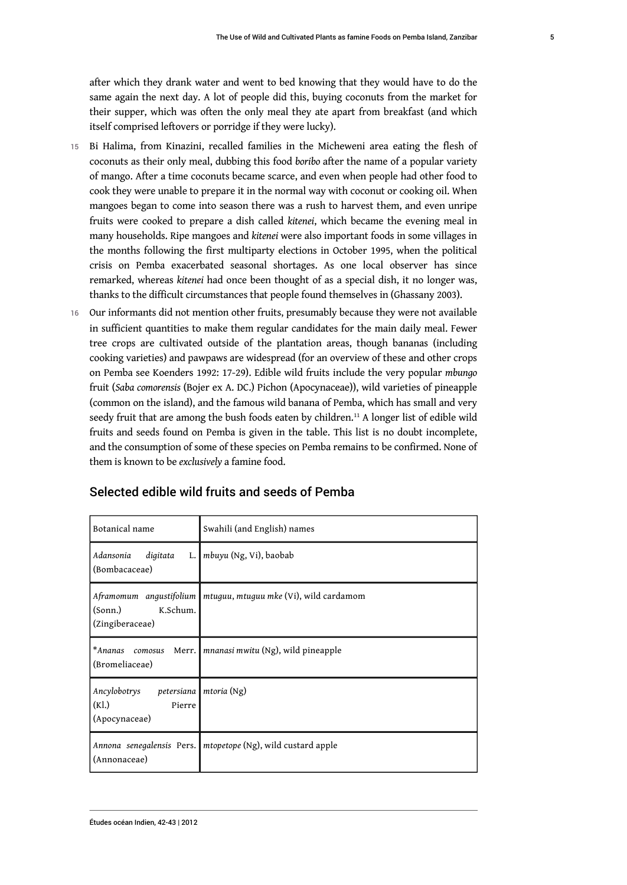after which they drank water and went to bed knowing that they would have to do the same again the next day. A lot of people did this, buying coconuts from the market for their supper, which was often the only meal they ate apart from breakfast (and which itself comprised leftovers or porridge if they were lucky).

- 15 Bi Halima, from Kinazini, recalled families in the Micheweni area eating the flesh of coconuts as their only meal, dubbing this food *boribo* after the name of a popular variety of mango. After a time coconuts became scarce, and even when people had other food to cook they were unable to prepare it in the normal way with coconut or cooking oil. When mangoes began to come into season there was a rush to harvest them, and even unripe fruits were cooked to prepare a dish called *kitenei*, which became the evening meal in many households. Ripe mangoes and *kitenei* were also important foods in some villages in the months following the first multiparty elections in October 1995, when the political crisis on Pemba exacerbated seasonal shortages. As one local observer has since remarked, whereas *kitenei* had once been thought of as a special dish, it no longer was, thanks to the difficult circumstances that people found themselves in (Ghassany 2003).
- 16 Our informants did not mention other fruits, presumably because they were not available in sufficient quantities to make them regular candidates for the main daily meal. Fewer tree crops are cultivated outside of the plantation areas, though bananas (including cooking varieties) and pawpaws are widespread (for an overview of these and other crops on Pemba see Koenders 1992: 17-29). Edible wild fruits include the very popular *mbungo*  fruit (*Saba comorensis* (Bojer ex A. DC.) Pichon (Apocynaceae)), wild varieties of pineapple (common on the island), and the famous wild banana of Pemba, which has small and very seedy fruit that are among the bush foods eaten by children.<sup>[11](#page-18-10)</sup> A longer list of edible wild fruits and seeds found on Pemba is given in the table. This list is no doubt incomplete, and the consumption of some of these species on Pemba remains to be confirmed. None of them is known to be *exclusively* a famine food.

| Botanical name                                                    | Swahili (and English) names                                    |
|-------------------------------------------------------------------|----------------------------------------------------------------|
| Adansonia<br>digitata<br>(Bombacaceae)                            | L.   <i>mbuyu</i> (Ng, Vi), baobab                             |
| Aframomum angustifolium<br>K.Schum.<br>(Sonn.)<br>(Zingiberaceae) | mtuguu, mtuguu mke (Vi), wild cardamom                         |
| (Bromeliaceae)                                                    | *Ananas comosus Merr. mnanasi mwitu (Ng), wild pineapple       |
| Ancylobotrys petersiana<br>(Kl.)<br>Pierre<br>(Apocynaceae)       | mtoria (Ng)                                                    |
| (Annonaceae)                                                      | Annona senegalensis Pers.   mtopetope (Ng), wild custard apple |

#### <span id="page-5-0"></span>Selected edible wild fruits and seeds of Pemba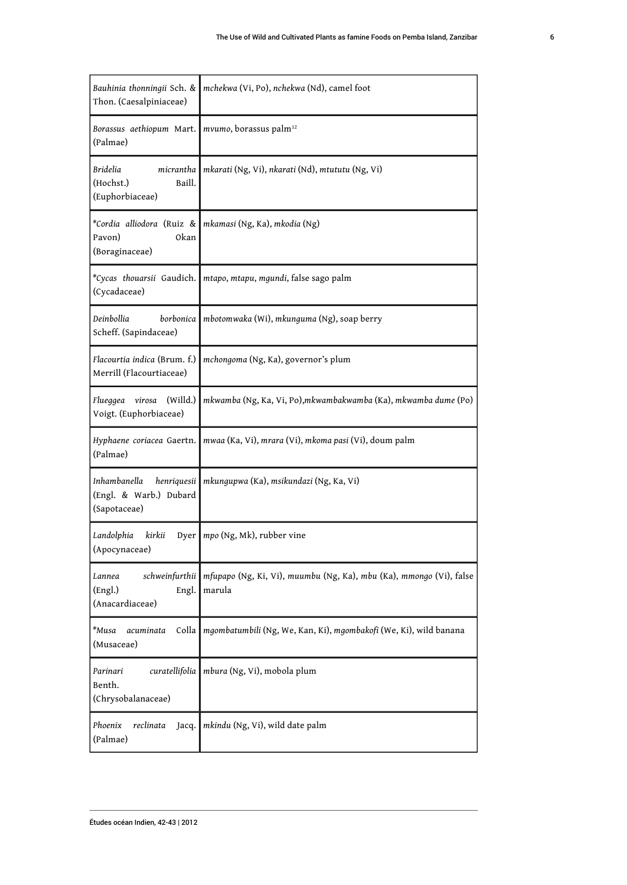<span id="page-6-0"></span>

| Bauhinia thonningii Sch. &<br>Thon. (Caesalpiniaceae)                 | mchekwa (Vi, Po), nchekwa (Nd), camel foot                                    |
|-----------------------------------------------------------------------|-------------------------------------------------------------------------------|
| Borassus aethiopum Mart.<br>(Palmae)                                  | mvumo, borassus palm <sup>12</sup>                                            |
| micrantha<br>Bridelia<br>Baill.<br>(Hochst.)<br>(Euphorbiaceae)       | mkarati (Ng, Vi), nkarati (Nd), mtututu (Ng, Vi)                              |
| *Cordia alliodora (Ruiz &<br>Okan<br>Pavon)<br>(Boraginaceae)         | mkamasi (Ng, Ka), mkodia (Ng)                                                 |
| *Cycas thouarsii Gaudich.<br>(Cycadaceae)                             | mtapo, mtapu, mgundi, false sago palm                                         |
| Deinbollia<br>borbonica<br>Scheff. (Sapindaceae)                      | mbotomwaka (Wi), mkunguma (Ng), soap berry                                    |
| Flacourtia indica (Brum. f.)<br>Merrill (Flacourtiaceae)              | mchongoma (Ng, Ka), governor's plum                                           |
| (Willd.)<br>virosa<br>Flueggea<br>Voigt. (Euphorbiaceae)              | mkwamba (Ng, Ka, Vi, Po),mkwambakwamba (Ka), mkwamba dume (Po)                |
| Hyphaene coriacea Gaertn.<br>(Palmae)                                 | mwaa (Ka, Vi), mrara (Vi), mkoma pasi (Vi), doum palm                         |
| Inhambanella<br>henriquesii<br>(Engl. & Warb.) Dubard<br>(Sapotaceae) | mkungupwa (Ka), msikundazi (Ng, Ka, Vi)                                       |
| Landolphia<br>kirkii<br>(Apocynaceae)                                 | Dyer mpo (Ng, Mk), rubber vine                                                |
| schweinfurthii<br>Lannea<br>(Engl.)<br>Engl.<br>(Anacardiaceae)       | mfupapo (Ng, Ki, Vi), muumbu (Ng, Ka), mbu (Ka), mmongo (Vi), false<br>marula |
| *Musa<br>Colla<br>acuminata<br>(Musaceae)                             | mgombatumbili (Ng, We, Kan, Ki), mgombakofi (We, Ki), wild banana             |
| curatellifolia<br>Parinari<br>Benth.<br>(Chrysobalanaceae)            | mbura (Ng, Vi), mobola plum                                                   |
| Phoenix<br>reclinata<br>Jacq.<br>(Palmae)                             | mkindu (Ng, Vi), wild date palm                                               |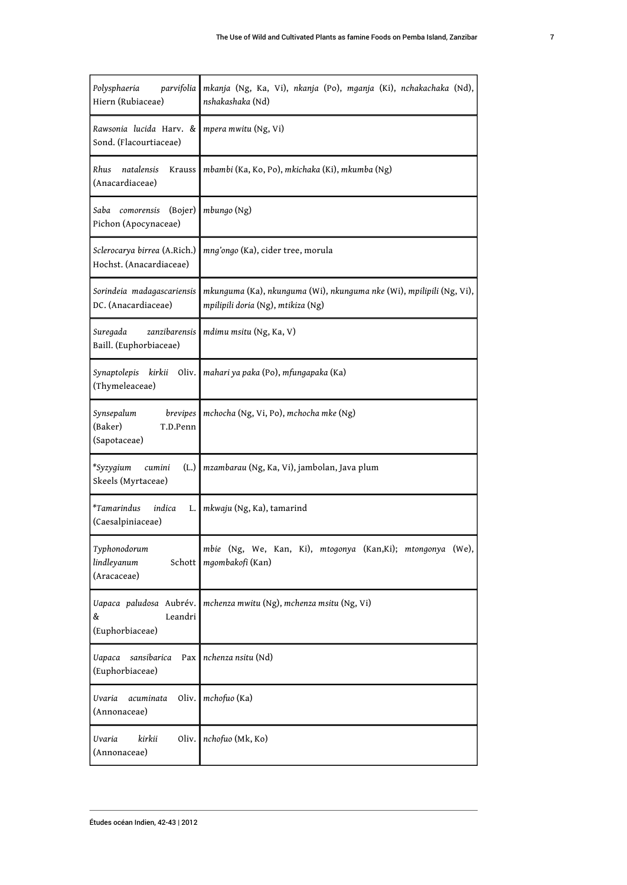| Polysphaeria<br>parvifolia<br>Hiern (Rubiaceae)               | mkanja (Ng, Ka, Vi), nkanja (Po), mganja (Ki), nchakachaka (Nd),<br>nshakashaka (Nd)                       |
|---------------------------------------------------------------|------------------------------------------------------------------------------------------------------------|
| Rawsonia lucida Harv. &<br>Sond. (Flacourtiaceae)             | mpera mwitu (Ng, Vi)                                                                                       |
| Rhus<br>natalensis<br>Krauss<br>(Anacardiaceae)               | mbambi (Ka, Ko, Po), mkichaka (Ki), mkumba (Ng)                                                            |
| (Bojer)<br>Saba comorensis<br>Pichon (Apocynaceae)            | mbungo (Ng)                                                                                                |
| Sclerocarya birrea (A.Rich.)<br>Hochst. (Anacardiaceae)       | mng'ongo (Ka), cider tree, morula                                                                          |
| Sorindeia madagascariensis<br>DC. (Anacardiaceae)             | mkunguma (Ka), nkunguma (Wi), nkunguma nke (Wi), mpilipili (Ng, Vi),<br>mpilipili doria (Ng), mtikiza (Ng) |
| Suregada<br>zanzibarensis<br>Baill. (Euphorbiaceae)           | mdimu msitu (Ng, Ka, V)                                                                                    |
| Synaptolepis kirkii<br>Oliv.<br>(Thymeleaceae)                | mahari ya paka (Po), mfungapaka (Ka)                                                                       |
| Synsepalum<br>brevipes<br>(Baker)<br>T.D.Penn<br>(Sapotaceae) | mchocha (Ng, Vi, Po), mchocha mke (Ng)                                                                     |
| *Syzygium<br>cumini<br>(L.)<br>Skeels (Myrtaceae)             | mzambarau (Ng, Ka, Vi), jambolan, Java plum                                                                |
| *Tamarindus<br>indica<br>L.<br>(Caesalpiniaceae)              | mkwaju (Ng, Ka), tamarind                                                                                  |
| Typhonodorum<br>lindleyanum<br>Schott<br>(Aracaceae)          | mbie (Ng, We, Kan, Ki), mtogonya (Kan,Ki); mtongonya (We),<br>mgombakofi (Kan)                             |
| Uapaca paludosa Aubrév.<br>&<br>Leandri<br>(Euphorbiaceae)    | mchenza mwitu (Ng), mchenza msitu (Ng, Vi)                                                                 |
| <b>Uapaca</b><br>sansibarica<br>Pax<br>(Euphorbiaceae)        | nchenza nsitu (Nd)                                                                                         |
| oliv.<br>Uvaria<br>acuminata<br>(Annonaceae)                  | mchofuo (Ka)                                                                                               |
| kirkii<br>oliv.<br>Uvaria<br>(Annonaceae)                     | nchofuo (Mk, Ko)                                                                                           |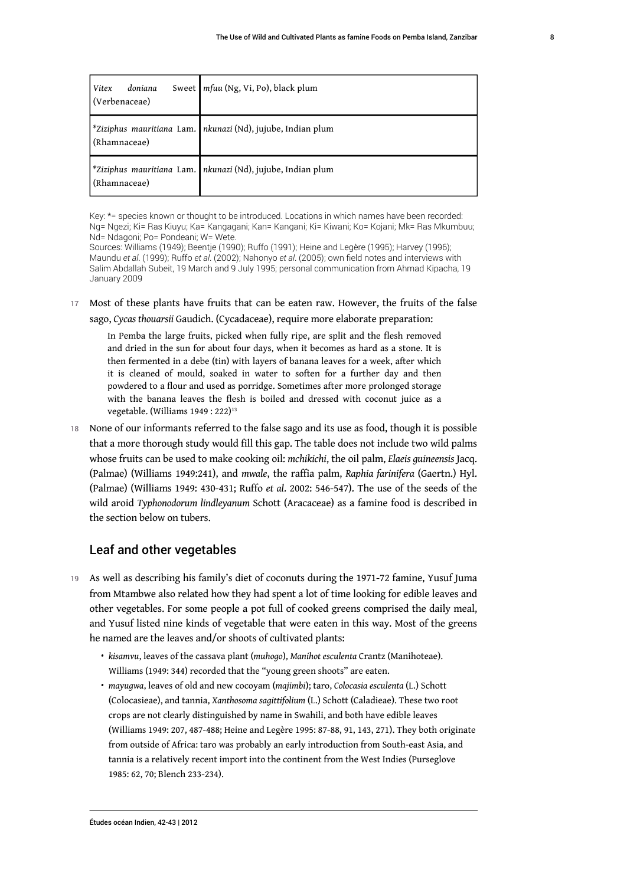| doniana<br>Vitex<br>(Verbenaceae) | Sweet   mfuu (Ng, Vi, Po), black plum                         |
|-----------------------------------|---------------------------------------------------------------|
| (Rhamnaceae)                      | *Ziziphus mauritiana Lam.   nkunazi (Nd), jujube, Indian plum |
| (Rhamnaceae)                      | *Ziziphus mauritiana Lam.   nkunazi (Nd), jujube, Indian plum |

Key: \*= species known or thought to be introduced. Locations in which names have been recorded: Ng= Ngezi; Ki= Ras Kiuyu; Ka= Kangagani; Kan= Kangani; Ki= Kiwani; Ko= Kojani; Mk= Ras Mkumbuu; Nd= Ndagoni; Po= Pondeani; W= Wete.

Sources: Williams (1949); Beentje (1990); Ruffo (1991); Heine and Legère (1995); Harvey (1996); Maundu *et al*. (1999); Ruffo *et al*. (2002); Nahonyo *et al*. (2005); own field notes and interviews with Salim Abdallah Subeit, 19 March and 9 July 1995; personal communication from Ahmad Kipacha, 19 January 2009

17 Most of these plants have fruits that can be eaten raw. However, the fruits of the false sago, *Cycas thouarsii* Gaudich. (Cycadaceae), require more elaborate preparation:

<span id="page-8-0"></span>In Pemba the large fruits, picked when fully ripe, are split and the flesh removed and dried in the sun for about four days, when it becomes as hard as a stone. It is then fermented in a debe (tin) with layers of banana leaves for a week, after which it is cleaned of mould, soaked in water to soften for a further day and then powdered to a flour and used as porridge. Sometimes after more prolonged storage with the banana leaves the flesh is boiled and dressed with coconut juice as a vegetable. (Williams 1949: 222)<sup>[13](#page-18-12)</sup>

18 None of our informants referred to the false sago and its use as food, though it is possible that a more thorough study would fill this gap. The table does not include two wild palms whose fruits can be used to make cooking oil: *mchikichi*, the oil palm, *Elaeis guineensis* Jacq. (Palmae) (Williams 1949:241), and *mwale*, the raffia palm, *Raphia farinifera* (Gaertn.) Hyl. (Palmae) (Williams 1949: 430-431; Ruffo *et al*. 2002: 546-547). The use of the seeds of the wild aroid *Typhonodorum lindleyanum* Schott (Aracaceae) as a famine food is described in the section below on tubers.

#### Leaf and other vegetables

- 19 As well as describing his family's diet of coconuts during the 1971-72 famine, Yusuf Juma from Mtambwe also related how they had spent a lot of time looking for edible leaves and other vegetables. For some people a pot full of cooked greens comprised the daily meal, and Yusuf listed nine kinds of vegetable that were eaten in this way. Most of the greens he named are the leaves and/or shoots of cultivated plants:
	- *kisamvu*, leaves of the cassava plant (*muhogo*), *Manihot esculenta* Crantz (Manihoteae). Williams (1949: 344) recorded that the "young green shoots" are eaten.
	- *mayugwa*, leaves of old and new cocoyam (*majimbi*); taro, *Colocasia esculenta* (L.) Schott (Colocasieae), and tannia, *Xanthosoma sagittifolium* (L.) Schott (Caladieae). These two root crops are not clearly distinguished by name in Swahili, and both have edible leaves (Williams 1949: 207, 487-488; Heine and Legère 1995: 87-88, 91, 143, 271). They both originate from outside of Africa: taro was probably an early introduction from South-east Asia, and tannia is a relatively recent import into the continent from the West Indies (Purseglove 1985: 62, 70; Blench 233-234).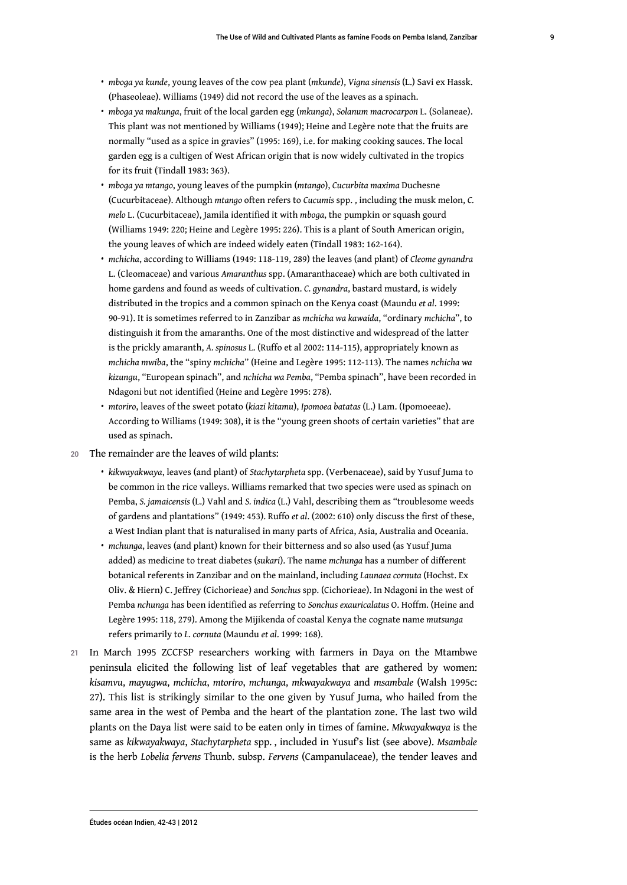- *mboga ya kunde*, young leaves of the cow pea plant (*mkunde*), *Vigna sinensis* (L.) Savi ex Hassk. (Phaseoleae). Williams (1949) did not record the use of the leaves as a spinach.
- *mboga ya makunga*, fruit of the local garden egg (*mkunga*), *Solanum macrocarpon* L. (Solaneae). This plant was not mentioned by Williams (1949); Heine and Legère note that the fruits are normally "used as a spice in gravies" (1995: 169), i.e. for making cooking sauces. The local garden egg is a cultigen of West African origin that is now widely cultivated in the tropics for its fruit (Tindall 1983: 363).
- *mboga ya mtango*, young leaves of the pumpkin (*mtango*), *Cucurbita maxima* Duchesne (Cucurbitaceae). Although *mtango* often refers to *Cucumis* spp. , including the musk melon, *C. melo* L. (Cucurbitaceae), Jamila identified it with *mboga*, the pumpkin or squash gourd (Williams 1949: 220; Heine and Legère 1995: 226). This is a plant of South American origin, the young leaves of which are indeed widely eaten (Tindall 1983: 162-164).
- *mchicha*, according to Williams (1949: 118-119, 289) the leaves (and plant) of *Cleome gynandra*  L. (Cleomaceae) and various *Amaranthus* spp. (Amaranthaceae) which are both cultivated in home gardens and found as weeds of cultivation. *C. gynandra*, bastard mustard, is widely distributed in the tropics and a common spinach on the Kenya coast (Maundu *et al*. 1999: 90-91). It is sometimes referred to in Zanzibar as *mchicha wa kawaida*, "ordinary *mchicha*", to distinguish it from the amaranths. One of the most distinctive and widespread of the latter is the prickly amaranth, *A. spinosus* L. (Ruffo et al 2002: 114-115), appropriately known as *mchicha mwiba*, the "spiny *mchicha*" (Heine and Legère 1995: 112-113). The names *nchicha wa kizungu*, "European spinach", and *nchicha wa Pemba*, "Pemba spinach", have been recorded in Ndagoni but not identified (Heine and Legère 1995: 278).
- *mtoriro*, leaves of the sweet potato (*kiazi kitamu*), *Ipomoea batatas* (L.) Lam. (Ipomoeeae). According to Williams (1949: 308), it is the "young green shoots of certain varieties" that are used as spinach.
- 20 The remainder are the leaves of wild plants:
	- *kikwayakwaya*, leaves (and plant) of *Stachytarpheta* spp. (Verbenaceae), said by Yusuf Juma to be common in the rice valleys. Williams remarked that two species were used as spinach on Pemba, *S. jamaicensis* (L.) Vahl and *S. indica* (L.) Vahl, describing them as "troublesome weeds of gardens and plantations" (1949: 453). Ruffo *et al*. (2002: 610) only discuss the first of these, a West Indian plant that is naturalised in many parts of Africa, Asia, Australia and Oceania.
	- *mchunga*, leaves (and plant) known for their bitterness and so also used (as Yusuf Juma added) as medicine to treat diabetes (*sukari*). The name *mchunga* has a number of different botanical referents in Zanzibar and on the mainland, including *Launaea cornuta* (Hochst. Ex Oliv. & Hiern) C. Jeffrey (Cichorieae) and *Sonchus* spp. (Cichorieae). In Ndagoni in the west of Pemba *nchunga* has been identified as referring to *Sonchus exauricalatus* O. Hoffm. (Heine and Legère 1995: 118, 279). Among the Mijikenda of coastal Kenya the cognate name *mutsunga*  refers primarily to *L. cornuta* (Maundu *et al*. 1999: 168).
- 21 In March 1995 ZCCFSP researchers working with farmers in Daya on the Mtambwe peninsula elicited the following list of leaf vegetables that are gathered by women: *kisamvu*, *mayugwa*, *mchicha*, *mtoriro*, *mchunga*, *mkwayakwaya* and *msambale* (Walsh 1995c: 27). This list is strikingly similar to the one given by Yusuf Juma, who hailed from the same area in the west of Pemba and the heart of the plantation zone. The last two wild plants on the Daya list were said to be eaten only in times of famine. *Mkwayakwaya* is the same as *kikwayakwaya*, *Stachytarpheta* spp. , included in Yusuf's list (see above). *Msambale*  is the herb *Lobelia fervens* Thunb. subsp. *Fervens* (Campanulaceae), the tender leaves and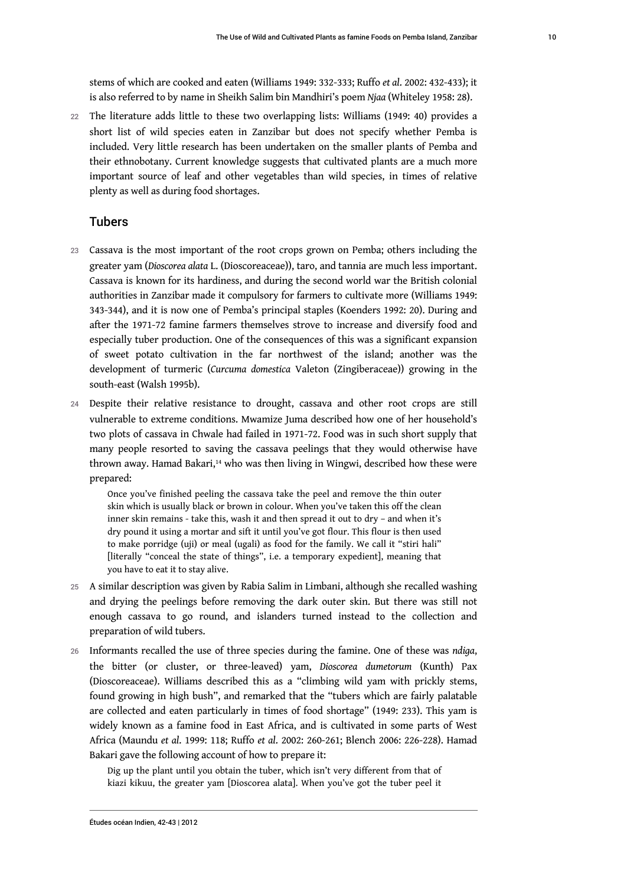stems of which are cooked and eaten (Williams 1949: 332-333; Ruffo *et al*. 2002: 432-433); it is also referred to by name in Sheikh Salim bin Mandhiri's poem *Njaa* (Whiteley 1958: 28).

22 The literature adds little to these two overlapping lists: Williams (1949: 40) provides a short list of wild species eaten in Zanzibar but does not specify whether Pemba is included. Very little research has been undertaken on the smaller plants of Pemba and their ethnobotany. Current knowledge suggests that cultivated plants are a much more important source of leaf and other vegetables than wild species, in times of relative plenty as well as during food shortages.

#### Tubers

- 23 Cassava is the most important of the root crops grown on Pemba; others including the greater yam (*Dioscorea alata* L. (Dioscoreaceae)), taro, and tannia are much less important. Cassava is known for its hardiness, and during the second world war the British colonial authorities in Zanzibar made it compulsory for farmers to cultivate more (Williams 1949: 343-344), and it is now one of Pemba's principal staples (Koenders 1992: 20). During and after the 1971-72 famine farmers themselves strove to increase and diversify food and especially tuber production. One of the consequences of this was a significant expansion of sweet potato cultivation in the far northwest of the island; another was the development of turmeric (*Curcuma domestica* Valeton (Zingiberaceae)) growing in the south-east (Walsh 1995b).
- 24 Despite their relative resistance to drought, cassava and other root crops are still vulnerable to extreme conditions. Mwamize Juma described how one of her household's two plots of cassava in Chwale had failed in 1971-72. Food was in such short supply that many people resorted to saving the cassava peelings that they would otherwise have thrown away. Hamad Bakari,[14](#page-18-13) who was then living in Wingwi, described how these were prepared:

<span id="page-10-0"></span>Once you've finished peeling the cassava take the peel and remove the thin outer skin which is usually black or brown in colour. When you've taken this off the clean inner skin remains - take this, wash it and then spread it out to dry – and when it's dry pound it using a mortar and sift it until you've got flour. This flour is then used to make porridge (uji) or meal (ugali) as food for the family. We call it "stiri hali" [literally "conceal the state of things", i.e. a temporary expedient], meaning that you have to eat it to stay alive.

- 25 A similar description was given by Rabia Salim in Limbani, although she recalled washing and drying the peelings before removing the dark outer skin. But there was still not enough cassava to go round, and islanders turned instead to the collection and preparation of wild tubers.
- <sup>26</sup>Informants recalled the use of three species during the famine. One of these was *ndiga*, the bitter (or cluster, or three-leaved) yam, *Dioscorea dumetorum* (Kunth) Pax (Dioscoreaceae). Williams described this as a "climbing wild yam with prickly stems, found growing in high bush", and remarked that the "tubers which are fairly palatable are collected and eaten particularly in times of food shortage" (1949: 233). This yam is widely known as a famine food in East Africa, and is cultivated in some parts of West Africa (Maundu *et al*. 1999: 118; Ruffo *et al*. 2002: 260-261; Blench 2006: 226-228). Hamad Bakari gave the following account of how to prepare it:

Dig up the plant until you obtain the tuber, which isn't very different from that of kiazi kikuu, the greater yam [Dioscorea alata]. When you've got the tuber peel it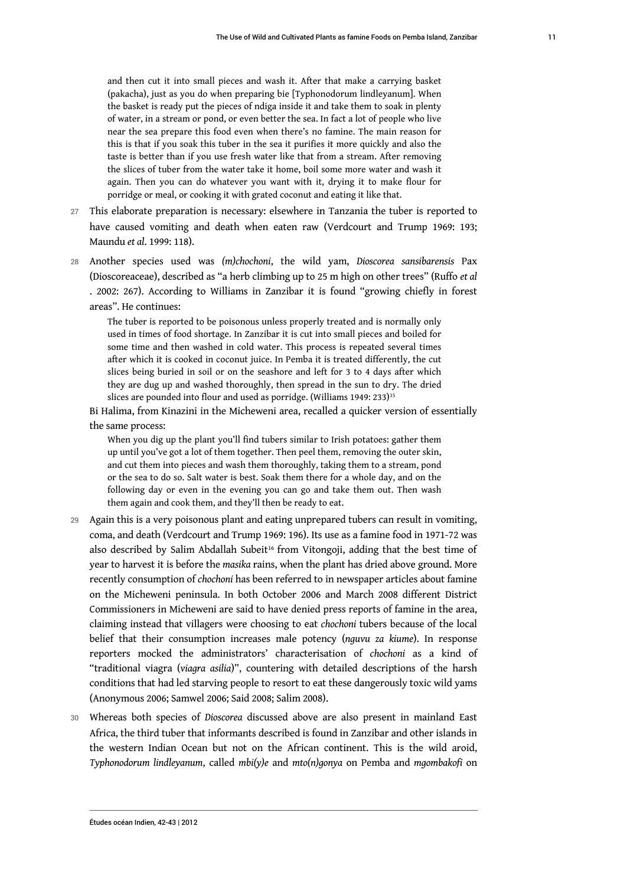and then cut it into small pieces and wash it. After that make a carrying basket (pakacha), just as you do when preparing bie [Typhonodorum lindleyanum]. When the basket is ready put the pieces of ndiga inside it and take them to soak in plenty of water, in a stream or pond, or even better the sea. In fact a lot of people who live near the sea prepare this food even when there's no famine. The main reason for this is that if you soak this tuber in the sea it purifies it more quickly and also the taste is better than if you use fresh water like that from a stream. After removing the slices of tuber from the water take it home, boil some more water and wash it again. Then you can do whatever you want with it, drying it to make flour for porridge or meal, or cooking it with grated coconut and eating it like that.

- 27 This elaborate preparation is necessary: elsewhere in Tanzania the tuber is reported to have caused vomiting and death when eaten raw (Verdcourt and Trump 1969: 193; Maundu *et al*. 1999: 118).
- <sup>28</sup>Another species used was *(m)chochoni*, the wild yam, *Dioscorea sansibarensis* Pax (Dioscoreaceae), described as "a herb climbing up to 25 m high on other trees" (Ruffo *et al* . 2002: 267). According to Williams in Zanzibar it is found "growing chiefly in forest areas". He continues:

The tuber is reported to be poisonous unless properly treated and is normally only used in times of food shortage. In Zanzibar it is cut into small pieces and boiled for some time and then washed in cold water. This process is repeated several times after which it is cooked in coconut juice. In Pemba it is treated differently, the cut slices being buried in soil or on the seashore and left for 3 to 4 days after which they are dug up and washed thoroughly, then spread in the sun to dry. The dried slices are pounded into flour and used as porridge. (Williams 1949: 233)<sup>[15](#page-19-0)</sup>

Bi Halima, from Kinazini in the Micheweni area, recalled a quicker version of essentially the same process:

<span id="page-11-1"></span><span id="page-11-0"></span>When you dig up the plant you'll find tubers similar to Irish potatoes: gather them up until you've got a lot of them together. Then peel them, removing the outer skin, and cut them into pieces and wash them thoroughly, taking them to a stream, pond or the sea to do so. Salt water is best. Soak them there for a whole day, and on the following day or even in the evening you can go and take them out. Then wash them again and cook them, and they'll then be ready to eat.

- 29 Again this is a very poisonous plant and eating unprepared tubers can result in vomiting, coma, and death (Verdcourt and Trump 1969: 196). Its use as a famine food in 1971-72 was also described by Salim Abdallah Subeit<sup>[16](#page-19-1)</sup> from Vitongoji, adding that the best time of year to harvest it is before the *masika* rains, when the plant has dried above ground. More recently consumption of *chochoni* has been referred to in newspaper articles about famine on the Micheweni peninsula. In both October 2006 and March 2008 different District Commissioners in Micheweni are said to have denied press reports of famine in the area, claiming instead that villagers were choosing to eat *chochoni* tubers because of the local belief that their consumption increases male potency (*nguvu za kiume*). In response reporters mocked the administrators' characterisation of *chochoni* as a kind of "traditional viagra (*viagra asilia*)", countering with detailed descriptions of the harsh conditions that had led starving people to resort to eat these dangerously toxic wild yams (Anonymous 2006; Samwel 2006; Said 2008; Salim 2008).
- <sup>30</sup>Whereas both species of *Dioscorea* discussed above are also present in mainland East Africa, the third tuber that informants described is found in Zanzibar and other islands in the western Indian Ocean but not on the African continent. This is the wild aroid, *Typhonodorum lindleyanum*, called *mbi(y)e* and *mto(n)gonya* on Pemba and *mgombakofi* on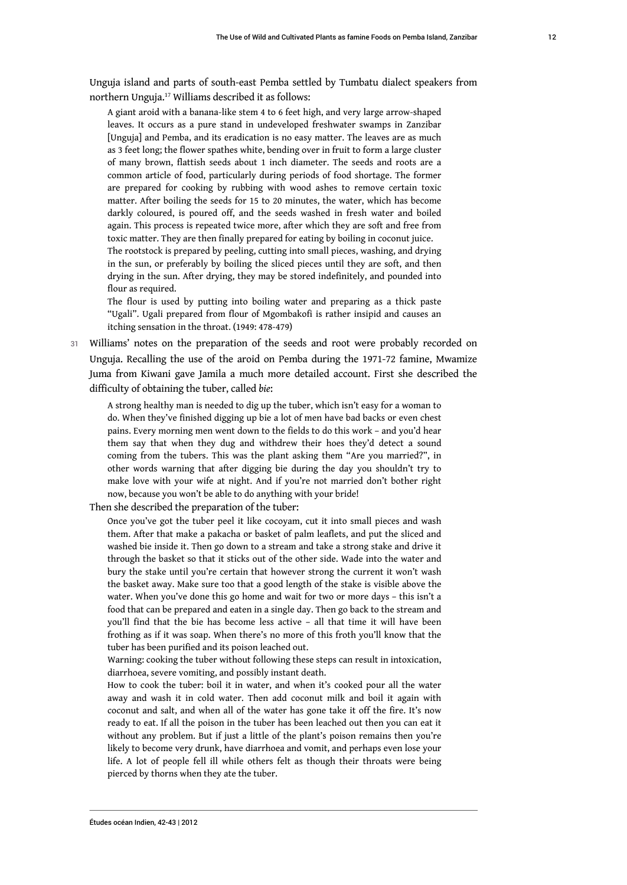Unguja island and parts of south-east Pemba settled by Tumbatu dialect speakers from northern Unguja.[17](#page-19-2) Williams described it as follows:

<span id="page-12-0"></span>A giant aroid with a banana-like stem 4 to 6 feet high, and very large arrow-shaped leaves. It occurs as a pure stand in undeveloped freshwater swamps in Zanzibar [Unguja] and Pemba, and its eradication is no easy matter. The leaves are as much as 3 feet long; the flower spathes white, bending over in fruit to form a large cluster of many brown, flattish seeds about 1 inch diameter. The seeds and roots are a common article of food, particularly during periods of food shortage. The former are prepared for cooking by rubbing with wood ashes to remove certain toxic matter. After boiling the seeds for 15 to 20 minutes, the water, which has become darkly coloured, is poured off, and the seeds washed in fresh water and boiled again. This process is repeated twice more, after which they are soft and free from toxic matter. They are then finally prepared for eating by boiling in coconut juice. The rootstock is prepared by peeling, cutting into small pieces, washing, and drying in the sun, or preferably by boiling the sliced pieces until they are soft, and then drying in the sun. After drying, they may be stored indefinitely, and pounded into flour as required.

The flour is used by putting into boiling water and preparing as a thick paste "Ugali". Ugali prepared from flour of Mgombakofi is rather insipid and causes an itching sensation in the throat. (1949: 478-479)

31 Williams' notes on the preparation of the seeds and root were probably recorded on Unguja. Recalling the use of the aroid on Pemba during the 1971-72 famine, Mwamize Juma from Kiwani gave Jamila a much more detailed account. First she described the difficulty of obtaining the tuber, called *bie*:

A strong healthy man is needed to dig up the tuber, which isn't easy for a woman to do. When they've finished digging up bie a lot of men have bad backs or even chest pains. Every morning men went down to the fields to do this work – and you'd hear them say that when they dug and withdrew their hoes they'd detect a sound coming from the tubers. This was the plant asking them "Are you married?", in other words warning that after digging bie during the day you shouldn't try to make love with your wife at night. And if you're not married don't bother right now, because you won't be able to do anything with your bride!

Then she described the preparation of the tuber:

Once you've got the tuber peel it like cocoyam, cut it into small pieces and wash them. After that make a pakacha or basket of palm leaflets, and put the sliced and washed bie inside it. Then go down to a stream and take a strong stake and drive it through the basket so that it sticks out of the other side. Wade into the water and bury the stake until you're certain that however strong the current it won't wash the basket away. Make sure too that a good length of the stake is visible above the water. When you've done this go home and wait for two or more days – this isn't a food that can be prepared and eaten in a single day. Then go back to the stream and you'll find that the bie has become less active – all that time it will have been frothing as if it was soap. When there's no more of this froth you'll know that the tuber has been purified and its poison leached out.

Warning: cooking the tuber without following these steps can result in intoxication, diarrhoea, severe vomiting, and possibly instant death.

How to cook the tuber: boil it in water, and when it's cooked pour all the water away and wash it in cold water. Then add coconut milk and boil it again with coconut and salt, and when all of the water has gone take it off the fire. It's now ready to eat. If all the poison in the tuber has been leached out then you can eat it without any problem. But if just a little of the plant's poison remains then you're likely to become very drunk, have diarrhoea and vomit, and perhaps even lose your life. A lot of people fell ill while others felt as though their throats were being pierced by thorns when they ate the tuber.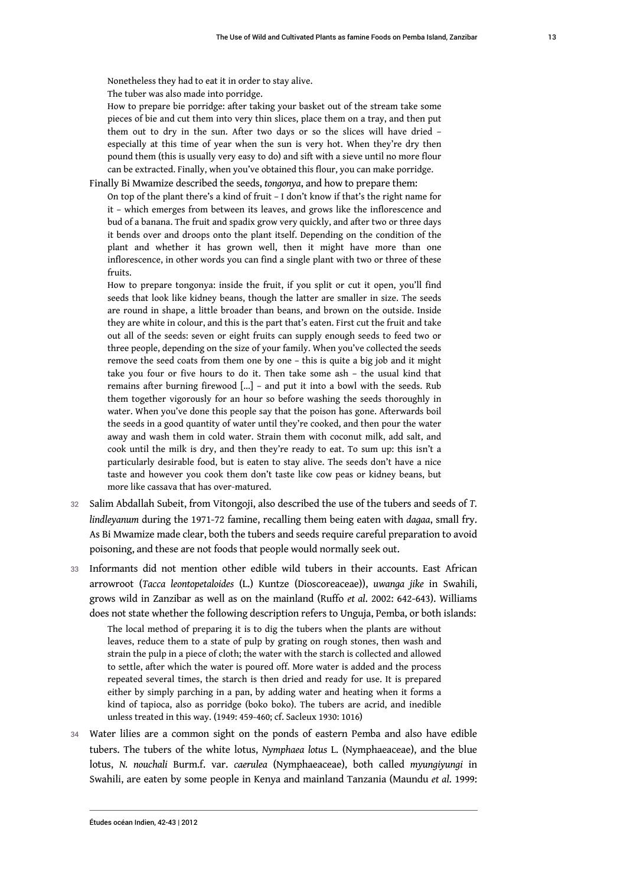Nonetheless they had to eat it in order to stay alive.

The tuber was also made into porridge.

How to prepare bie porridge: after taking your basket out of the stream take some pieces of bie and cut them into very thin slices, place them on a tray, and then put them out to dry in the sun. After two days or so the slices will have dried – especially at this time of year when the sun is very hot. When they're dry then pound them (this is usually very easy to do) and sift with a sieve until no more flour can be extracted. Finally, when you've obtained this flour, you can make porridge.

Finally Bi Mwamize described the seeds, *tongonya*, and how to prepare them:

On top of the plant there's a kind of fruit – I don't know if that's the right name for it – which emerges from between its leaves, and grows like the inflorescence and bud of a banana. The fruit and spadix grow very quickly, and after two or three days it bends over and droops onto the plant itself. Depending on the condition of the plant and whether it has grown well, then it might have more than one inflorescence, in other words you can find a single plant with two or three of these fruits.

How to prepare tongonya: inside the fruit, if you split or cut it open, you'll find seeds that look like kidney beans, though the latter are smaller in size. The seeds are round in shape, a little broader than beans, and brown on the outside. Inside they are white in colour, and this is the part that's eaten. First cut the fruit and take out all of the seeds: seven or eight fruits can supply enough seeds to feed two or three people, depending on the size of your family. When you've collected the seeds remove the seed coats from them one by one – this is quite a big job and it might take you four or five hours to do it. Then take some ash – the usual kind that remains after burning firewood […] – and put it into a bowl with the seeds. Rub them together vigorously for an hour so before washing the seeds thoroughly in water. When you've done this people say that the poison has gone. Afterwards boil the seeds in a good quantity of water until they're cooked, and then pour the water away and wash them in cold water. Strain them with coconut milk, add salt, and cook until the milk is dry, and then they're ready to eat. To sum up: this isn't a particularly desirable food, but is eaten to stay alive. The seeds don't have a nice taste and however you cook them don't taste like cow peas or kidney beans, but more like cassava that has over-matured.

- <sup>32</sup>Salim Abdallah Subeit, from Vitongoji, also described the use of the tubers and seeds of *T. lindleyanum* during the 1971-72 famine, recalling them being eaten with *dagaa*, small fry. As Bi Mwamize made clear, both the tubers and seeds require careful preparation to avoid poisoning, and these are not foods that people would normally seek out.
- 33 Informants did not mention other edible wild tubers in their accounts. East African arrowroot (*Tacca leontopetaloides* (L.) Kuntze (Dioscoreaceae)), *uwanga jike* in Swahili, grows wild in Zanzibar as well as on the mainland (Ruffo *et al*. 2002: 642-643). Williams does not state whether the following description refers to Unguja, Pemba, or both islands:

The local method of preparing it is to dig the tubers when the plants are without leaves, reduce them to a state of pulp by grating on rough stones, then wash and strain the pulp in a piece of cloth; the water with the starch is collected and allowed to settle, after which the water is poured off. More water is added and the process repeated several times, the starch is then dried and ready for use. It is prepared either by simply parching in a pan, by adding water and heating when it forms a kind of tapioca, also as porridge (boko boko). The tubers are acrid, and inedible unless treated in this way. (1949: 459-460; cf. Sacleux 1930: 1016)

34 Water lilies are a common sight on the ponds of eastern Pemba and also have edible tubers. The tubers of the white lotus, *Nymphaea lotus* L. (Nymphaeaceae), and the blue lotus, *N. nouchali* Burm.f. var. *caerulea* (Nymphaeaceae), both called *myungiyungi* in Swahili, are eaten by some people in Kenya and mainland Tanzania (Maundu *et al*. 1999: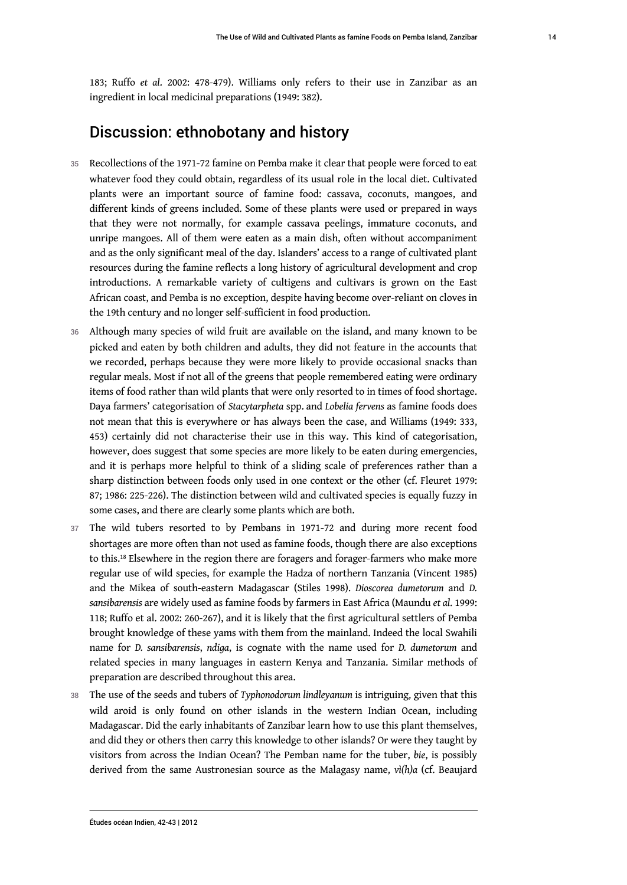183; Ruffo *et al*. 2002: 478-479). Williams only refers to their use in Zanzibar as an ingredient in local medicinal preparations (1949: 382).

## Discussion: ethnobotany and history

- 35 Recollections of the 1971-72 famine on Pemba make it clear that people were forced to eat whatever food they could obtain, regardless of its usual role in the local diet. Cultivated plants were an important source of famine food: cassava, coconuts, mangoes, and different kinds of greens included. Some of these plants were used or prepared in ways that they were not normally, for example cassava peelings, immature coconuts, and unripe mangoes. All of them were eaten as a main dish, often without accompaniment and as the only significant meal of the day. Islanders' access to a range of cultivated plant resources during the famine reflects a long history of agricultural development and crop introductions. A remarkable variety of cultigens and cultivars is grown on the East African coast, and Pemba is no exception, despite having become over-reliant on cloves in the 19th century and no longer self-sufficient in food production.
- 36 Although many species of wild fruit are available on the island, and many known to be picked and eaten by both children and adults, they did not feature in the accounts that we recorded, perhaps because they were more likely to provide occasional snacks than regular meals. Most if not all of the greens that people remembered eating were ordinary items of food rather than wild plants that were only resorted to in times of food shortage. Daya farmers' categorisation of *Stacytarpheta* spp. and *Lobelia fervens* as famine foods does not mean that this is everywhere or has always been the case, and Williams (1949: 333, 453) certainly did not characterise their use in this way. This kind of categorisation, however, does suggest that some species are more likely to be eaten during emergencies, and it is perhaps more helpful to think of a sliding scale of preferences rather than a sharp distinction between foods only used in one context or the other (cf. Fleuret 1979: 87; 1986: 225-226). The distinction between wild and cultivated species is equally fuzzy in some cases, and there are clearly some plants which are both.
- <span id="page-14-0"></span>37 The wild tubers resorted to by Pembans in 1971-72 and during more recent food shortages are more often than not used as famine foods, though there are also exceptions to this.[18](#page-19-3) Elsewhere in the region there are foragers and forager-farmers who make more regular use of wild species, for example the Hadza of northern Tanzania (Vincent 1985) and the Mikea of south-eastern Madagascar (Stiles 1998). *Dioscorea dumetorum* and *D. sansibarensis* are widely used as famine foods by farmers in East Africa (Maundu *et al*. 1999: 118; Ruffo et al. 2002: 260-267), and it is likely that the first agricultural settlers of Pemba brought knowledge of these yams with them from the mainland. Indeed the local Swahili name for *D. sansibarensis*, *ndiga*, is cognate with the name used for *D. dumetorum* and related species in many languages in eastern Kenya and Tanzania. Similar methods of preparation are described throughout this area.
- <sup>38</sup>The use of the seeds and tubers of *Typhonodorum lindleyanum* is intriguing, given that this wild aroid is only found on other islands in the western Indian Ocean, including Madagascar. Did the early inhabitants of Zanzibar learn how to use this plant themselves, and did they or others then carry this knowledge to other islands? Or were they taught by visitors from across the Indian Ocean? The Pemban name for the tuber, *bie*, is possibly derived from the same Austronesian source as the Malagasy name, *vì(h)a* (cf. Beaujard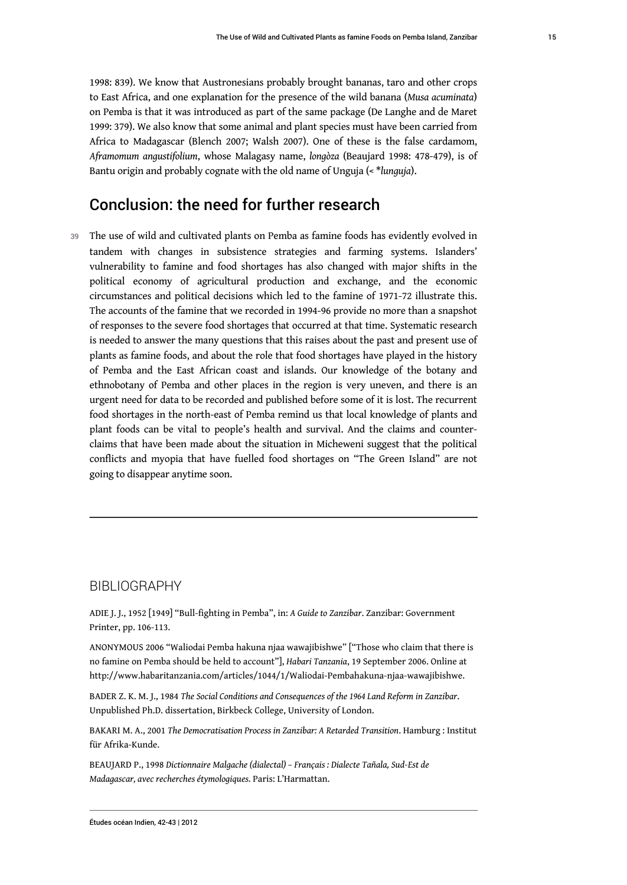1998: 839). We know that Austronesians probably brought bananas, taro and other crops to East Africa, and one explanation for the presence of the wild banana (*Musa acuminata*) on Pemba is that it was introduced as part of the same package (De Langhe and de Maret 1999: 379). We also know that some animal and plant species must have been carried from Africa to Madagascar (Blench 2007; Walsh 2007). One of these is the false cardamom, *Aframomum angustifolium*, whose Malagasy name, *longòza* (Beaujard 1998: 478-479), is of Bantu origin and probably cognate with the old name of Unguja (< \**lunguja*).

## Conclusion: the need for further research

39 The use of wild and cultivated plants on Pemba as famine foods has evidently evolved in tandem with changes in subsistence strategies and farming systems. Islanders' vulnerability to famine and food shortages has also changed with major shifts in the political economy of agricultural production and exchange, and the economic circumstances and political decisions which led to the famine of 1971-72 illustrate this. The accounts of the famine that we recorded in 1994-96 provide no more than a snapshot of responses to the severe food shortages that occurred at that time. Systematic research is needed to answer the many questions that this raises about the past and present use of plants as famine foods, and about the role that food shortages have played in the history of Pemba and the East African coast and islands. Our knowledge of the botany and ethnobotany of Pemba and other places in the region is very uneven, and there is an urgent need for data to be recorded and published before some of it is lost. The recurrent food shortages in the north-east of Pemba remind us that local knowledge of plants and plant foods can be vital to people's health and survival. And the claims and counterclaims that have been made about the situation in Micheweni suggest that the political conflicts and myopia that have fuelled food shortages on "The Green Island" are not going to disappear anytime soon.

#### BIBLIOGRAPHY

ADIE J. J., 1952 [1949] "Bull-fighting in Pemba", in: *A Guide to Zanzibar*. Zanzibar: Government Printer, pp. 106-113.

ANONYMOUS 2006 "Waliodai Pemba hakuna njaa wawajibishwe" ["Those who claim that there is no famine on Pemba should be held to account"], *Habari Tanzania*, 19 September 2006. Online at [http://www.habaritanzania.com/articles/1044/1/Waliodai-Pembahakuna-njaa-wawajibishwe.](http://www.habaritanzania.com/articles/1044/1/Waliodai-Pembahakuna-njaa-wawajibishwe)

BADER Z. K. M. J., 1984 *The Social Conditions and Consequences of the 1964 Land Reform in Zanzibar*. Unpublished Ph.D. dissertation, Birkbeck College, University of London.

BAKARI M. A., 2001 *The Democratisation Process in Zanzibar: A Retarded Transition*. Hamburg : Institut für Afrika-Kunde.

BEAUJARD P., 1998 *Dictionnaire Malgache (dialectal) – Français : Dialecte Tañala, Sud-Est de Madagascar, avec recherches étymologiques.* Paris: L'Harmattan.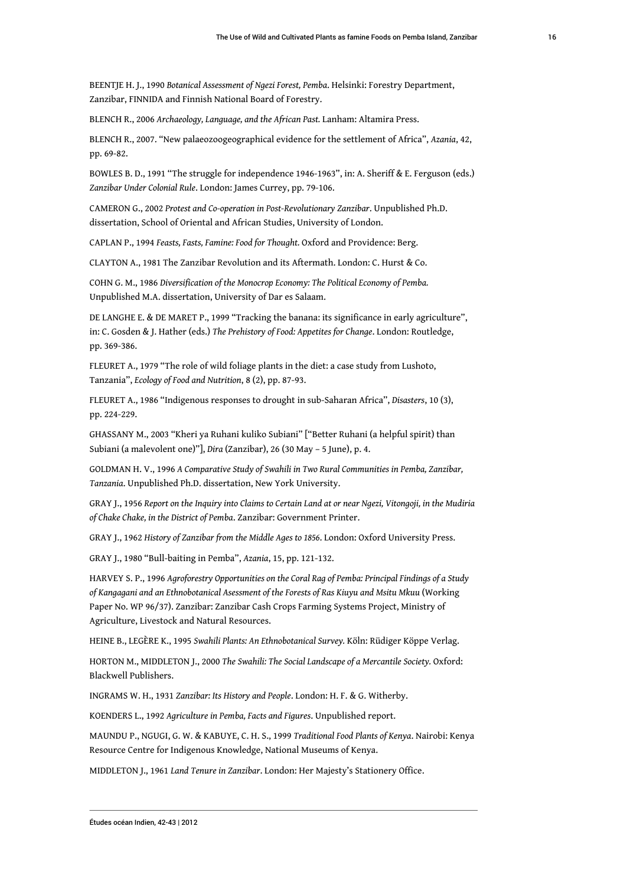BEENTJE H. J., 1990 *Botanical Assessment of Ngezi Forest, Pemba*. Helsinki: Forestry Department, Zanzibar, FINNIDA and Finnish National Board of Forestry.

BLENCH R., 2006 *Archaeology, Language, and the African Past.* Lanham: Altamira Press.

BLENCH R., 2007. "New palaeozoogeographical evidence for the settlement of Africa", *Azania*, 42, pp. 69-82.

BOWLES B. D., 1991 "The struggle for independence 1946-1963", in: A. Sheriff & E. Ferguson (eds.) *Zanzibar Under Colonial Rule*. London: James Currey, pp. 79-106.

CAMERON G., 2002 *Protest and Co-operation in Post-Revolutionary Zanzibar*. Unpublished Ph.D. dissertation, School of Oriental and African Studies, University of London.

CAPLAN P., 1994 *Feasts, Fasts, Famine: Food for Thought.* Oxford and Providence: Berg.

CLAYTON A., 1981 The Zanzibar Revolution and its Aftermath. London: C. Hurst & Co.

COHN G. M., 1986 *Diversification of the Monocrop Economy: The Political Economy of Pemba.*  Unpublished M.A. dissertation, University of Dar es Salaam.

DE LANGHE E. & DE MARET P., 1999 "Tracking the banana: its significance in early agriculture", in: C. Gosden & J. Hather (eds.) *The Prehistory of Food: Appetites for Change*. London: Routledge, pp. 369-386.

FLEURET A., 1979 "The role of wild foliage plants in the diet: a case study from Lushoto, Tanzania", *Ecology of Food and Nutrition*, 8 (2), pp. 87-93.

FLEURET A., 1986 "Indigenous responses to drought in sub-Saharan Africa", *Disasters*, 10 (3), pp. 224-229.

GHASSANY M., 2003 "Kheri ya Ruhani kuliko Subiani" ["Better Ruhani (a helpful spirit) than Subiani (a malevolent one)"], *Dira* (Zanzibar), 26 (30 May – 5 June), p. 4.

GOLDMAN H. V., 1996 *A Comparative Study of Swahili in Two Rural Communities in Pemba, Zanzibar, Tanzania*. Unpublished Ph.D. dissertation, New York University.

GRAY J., 1956 *Report on the Inquiry into Claims to Certain Land at or near Ngezi, Vitongoji, in the Mudiria of Chake Chake, in the District of Pemba*. Zanzibar: Government Printer.

GRAY J., 1962 *History of Zanzibar from the Middle Ages to 1856*. London: Oxford University Press.

GRAY J., 1980 "Bull-baiting in Pemba", *Azania*, 15, pp. 121-132.

HARVEY S. P., 1996 *Agroforestry Opportunities on the Coral Rag of Pemba: Principal Findings of a Study of Kangagani and an Ethnobotanical Asessment of the Forests of Ras Kiuyu and Msitu Mkuu* (Working Paper No. WP 96/37). Zanzibar: Zanzibar Cash Crops Farming Systems Project, Ministry of Agriculture, Livestock and Natural Resources.

HEINE B., LEGÈRE K., 1995 *Swahili Plants: An Ethnobotanical Survey.* Köln: Rüdiger Köppe Verlag.

HORTON M., MIDDLETON J., 2000 *The Swahili: The Social Landscape of a Mercantile Society.* Oxford: Blackwell Publishers.

INGRAMS W. H., 1931 *Zanzibar: Its History and People*. London: H. F. & G. Witherby.

KOENDERS L., 1992 *Agriculture in Pemba, Facts and Figures*. Unpublished report.

MAUNDU P., NGUGI, G. W. & KABUYE, C. H. S., 1999 *Traditional Food Plants of Kenya*. Nairobi: Kenya Resource Centre for Indigenous Knowledge, National Museums of Kenya.

MIDDLETON J., 1961 *Land Tenure in Zanzibar*. London: Her Majesty's Stationery Office.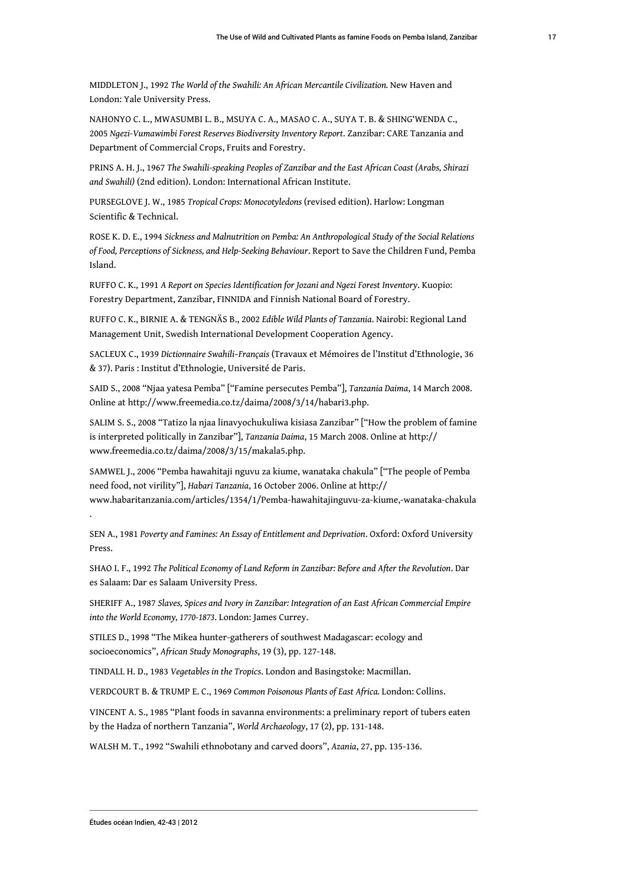MIDDLETON J., 1992 *The World of the Swahili: An African Mercantile Civilization.* New Haven and London: Yale University Press.

NAHONYO C. L., MWASUMBI L. B., MSUYA C. A., MASAO C. A., SUYA T. B. & SHING'WENDA C., 2005 *Ngezi-Vumawimbi Forest Reserves Biodiversity Inventory Report*. Zanzibar: CARE Tanzania and Department of Commercial Crops, Fruits and Forestry.

PRINS A. H. J., 1967 *The Swahili-speaking Peoples of Zanzibar and the East African Coast (Arabs, Shirazi and Swahili)* (2nd edition). London: International African Institute.

PURSEGLOVE J. W., 1985 *Tropical Crops: Monocotyledons* (revised edition). Harlow: Longman Scientific & Technical.

ROSE K. D. E., 1994 *Sickness and Malnutrition on Pemba: An Anthropological Study of the Social Relations of Food, Perceptions of Sickness, and Help-Seeking Behaviour*. Report to Save the Children Fund, Pemba Island.

RUFFO C. K., 1991 *A Report on Species Identification for Jozani and Ngezi Forest Inventory*. Kuopio: Forestry Department, Zanzibar, FINNIDA and Finnish National Board of Forestry.

RUFFO C. K., BIRNIE A. & TENGNÄS B., 2002 *Edible Wild Plants of Tanzania*. Nairobi: Regional Land Management Unit, Swedish International Development Cooperation Agency.

SACLEUX C., 1939 *Dictionnaire Swahili–Français* (Travaux et Mémoires de l'Institut d'Ethnologie, 36 & 37). Paris : Institut d'Ethnologie, Université de Paris.

SAID S., 2008 "Njaa yatesa Pemba" ["Famine persecutes Pemba"], *Tanzania Daima*, 14 March 2008. Online at http://www.freemedia.co.tz/daima/2008/3/14/habari3.php.

SALIM S. S., 2008 "Tatizo la njaa linavyochukuliwa kisiasa Zanzibar" ["How the problem of famine is interpreted politically in Zanzibar"], *Tanzania Daima*, 15 March 2008. Online at [http://](http://www.freemedia.co.tz/daima/2008/3/15/makala5.php) [www.freemedia.co.tz/daima/2008/3/15/makala5.php.](http://www.freemedia.co.tz/daima/2008/3/15/makala5.php)

SAMWEL J., 2006 "Pemba hawahitaji nguvu za kiume, wanataka chakula" ["The people of Pemba need food, not virility"], *Habari Tanzania*, 16 October 2006. Online at [http://](http://www.habaritanzania.com/articles/1354/1/Pemba-hawahitajinguvu-za-kiume,-wanataka-chakula) [www.habaritanzania.com/articles/1354/1/Pemba-hawahitajinguvu-za-kiume,-wanataka-chakula](http://www.habaritanzania.com/articles/1354/1/Pemba-hawahitajinguvu-za-kiume,-wanataka-chakula) .

SEN A., 1981 *Poverty and Famines: An Essay of Entitlement and Deprivation*. Oxford: Oxford University Press.

SHAO I. F., 1992 *The Political Economy of Land Reform in Zanzibar: Before and After the Revolution*. Dar es Salaam: Dar es Salaam University Press.

SHERIFF A., 1987 *Slaves, Spices and Ivory in Zanzibar: Integration of an East African Commercial Empire into the World Economy, 1770-1873*. London: James Currey.

STILES D., 1998 "The Mikea hunter-gatherers of southwest Madagascar: ecology and socioeconomics", *African Study Monographs*, 19 (3), pp. 127-148.

TINDALL H. D., 1983 *Vegetables in the Tropics*. London and Basingstoke: Macmillan.

VERDCOURT B. & TRUMP E. C., 1969 *Common Poisonous Plants of East Africa.* London: Collins.

VINCENT A. S., 1985 "Plant foods in savanna environments: a preliminary report of tubers eaten by the Hadza of northern Tanzania", *World Archaeology*, 17 (2), pp. 131-148.

WALSH M. T., 1992 "Swahili ethnobotany and carved doors", *Azania*, 27, pp. 135-136.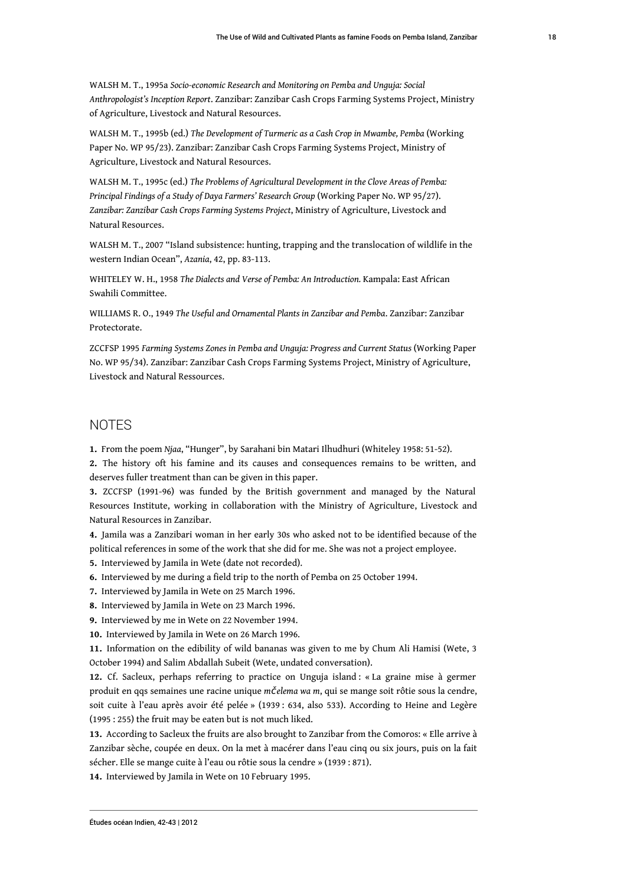WALSH M. T., 1995a *Socio-economic Research and Monitoring on Pemba and Unguja: Social Anthropologist's Inception Report*. Zanzibar: Zanzibar Cash Crops Farming Systems Project, Ministry of Agriculture, Livestock and Natural Resources.

WALSH M. T., 1995b (ed.) *The Development of Turmeric as a Cash Crop in Mwambe, Pemba* (Working Paper No. WP 95/23). Zanzibar: Zanzibar Cash Crops Farming Systems Project, Ministry of Agriculture, Livestock and Natural Resources.

WALSH M. T., 1995c (ed.) *The Problems of Agricultural Development in the Clove Areas of Pemba: Principal Findings of a Study of Daya Farmers' Research Group* (Working Paper No. WP 95/27). *Zanzibar: Zanzibar Cash Crops Farming Systems Project*, Ministry of Agriculture, Livestock and Natural Resources.

WALSH M. T., 2007 "Island subsistence: hunting, trapping and the translocation of wildlife in the western Indian Ocean", *Azania*, 42, pp. 83-113.

WHITELEY W. H., 1958 *The Dialects and Verse of Pemba: An Introduction.* Kampala: East African Swahili Committee.

WILLIAMS R. O., 1949 *The Useful and Ornamental Plants in Zanzibar and Pemba*. Zanzibar: Zanzibar Protectorate.

ZCCFSP 1995 *Farming Systems Zones in Pemba and Unguja: Progress and Current Status* (Working Paper No. WP 95/34). Zanzibar: Zanzibar Cash Crops Farming Systems Project, Ministry of Agriculture, Livestock and Natural Ressources.

#### NOTES

<span id="page-18-0"></span>**[1.](#page-1-0)** From the poem *Njaa*, "Hunger", by Sarahani bin Matari Ilhudhuri (Whiteley 1958: 51-52).

<span id="page-18-1"></span>**[2.](#page-3-0)** The history oft his famine and its causes and consequences remains to be written, and deserves fuller treatment than can be given in this paper.

<span id="page-18-2"></span>**[3.](#page-3-1)** ZCCFSP (1991-96) was funded by the British government and managed by the Natural Resources Institute, working in collaboration with the Ministry of Agriculture, Livestock and Natural Resources in Zanzibar.

<span id="page-18-3"></span>**[4.](#page-3-2)** Jamila was a Zanzibari woman in her early 30s who asked not to be identified because of the political references in some of the work that she did for me. She was not a project employee.

<span id="page-18-4"></span>**[5.](#page-4-0)** Interviewed by Jamila in Wete (date not recorded).

<span id="page-18-5"></span>**[6.](#page-4-1)** Interviewed by me during a field trip to the north of Pemba on 25 October 1994.

- <span id="page-18-6"></span>**[7.](#page-4-2)** Interviewed by Jamila in Wete on 25 March 1996.
- <span id="page-18-7"></span>**[8.](#page-4-3)** Interviewed by Jamila in Wete on 23 March 1996.

<span id="page-18-8"></span>**[9.](#page-4-4)** Interviewed by me in Wete on 22 November 1994.

<span id="page-18-9"></span>**[10.](#page-4-5)** Interviewed by Jamila in Wete on 26 March 1996.

<span id="page-18-10"></span>**[11.](#page-5-0)** Information on the edibility of wild bananas was given to me by Chum Ali Hamisi (Wete, 3 October 1994) and Salim Abdallah Subeit (Wete, undated conversation).

<span id="page-18-11"></span>**[12.](#page-6-0)** Cf. Sacleux, perhaps referring to practice on Unguja island : « La graine mise à germer produit en qqs semaines une racine unique *m*č*elema wa m*, qui se mange soit rôtie sous la cendre, soit cuite à l'eau après avoir été pelée » (1939 : 634, also 533). According to Heine and Legère (1995 : 255) the fruit may be eaten but is not much liked.

<span id="page-18-12"></span>**[13.](#page-8-0)** According to Sacleux the fruits are also brought to Zanzibar from the Comoros: « Elle arrive à Zanzibar sèche, coupée en deux. On la met à macérer dans l'eau cinq ou six jours, puis on la fait sécher. Elle se mange cuite à l'eau ou rôtie sous la cendre » (1939 : 871).

<span id="page-18-13"></span>**[14.](#page-10-0)** Interviewed by Jamila in Wete on 10 February 1995.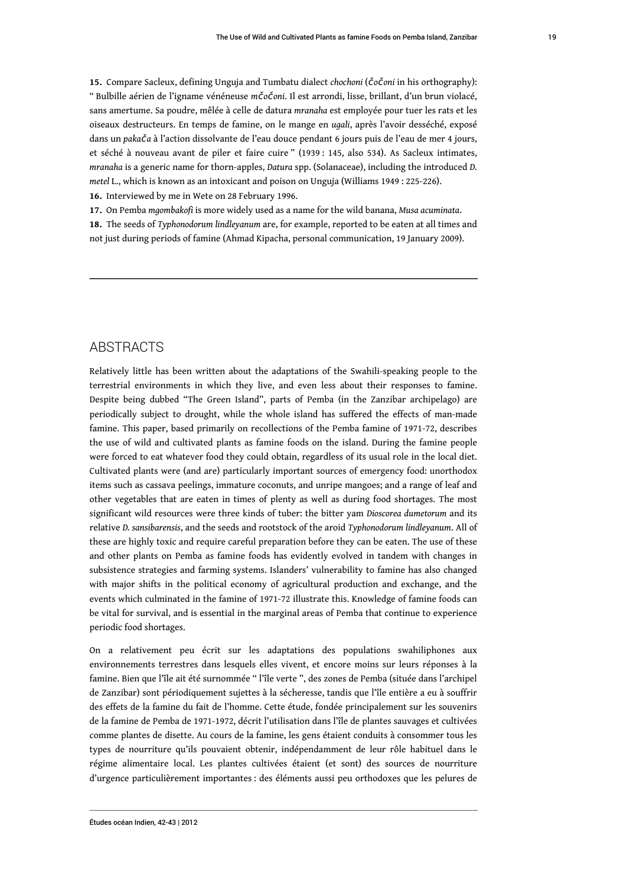<span id="page-19-0"></span>**[15.](#page-11-0)** Compare Sacleux, defining Unguja and Tumbatu dialect *chochoni* (č*o*č*oni* in his orthography): " Bulbille aérien de l'igname vénéneuse *m*č*o*č*oni*. Il est arrondi, lisse, brillant, d'un brun violacé, sans amertume. Sa poudre, mêlée à celle de datura *mranaha* est employée pour tuer les rats et les oiseaux destructeurs. En temps de famine, on le mange en *ugali*, après l'avoir desséché, exposé dans un *paka*č*a* à l'action dissolvante de l'eau douce pendant 6 jours puis de l'eau de mer 4 jours, et séché à nouveau avant de piler et faire cuire " (1939 : 145, also 534). As Sacleux intimates, *mranaha* is a generic name for thorn-apples, *Datura* spp. (Solanaceae), including the introduced *D. metel* L., which is known as an intoxicant and poison on Unguja (Williams 1949 : 225-226).

<span id="page-19-1"></span>**[16.](#page-11-1)** Interviewed by me in Wete on 28 February 1996.

<span id="page-19-2"></span>**[17.](#page-12-0)** On Pemba *mgombakofi* is more widely used as a name for the wild banana, *Musa acuminata*.

<span id="page-19-3"></span>**[18.](#page-14-0)** The seeds of *Typhonodorum lindleyanum* are, for example, reported to be eaten at all times and not just during periods of famine (Ahmad Kipacha, personal communication, 19 January 2009).

#### **ABSTRACTS**

Relatively little has been written about the adaptations of the Swahili-speaking people to the terrestrial environments in which they live, and even less about their responses to famine. Despite being dubbed "The Green Island", parts of Pemba (in the Zanzibar archipelago) are periodically subject to drought, while the whole island has suffered the effects of man-made famine. This paper, based primarily on recollections of the Pemba famine of 1971-72, describes the use of wild and cultivated plants as famine foods on the island. During the famine people were forced to eat whatever food they could obtain, regardless of its usual role in the local diet. Cultivated plants were (and are) particularly important sources of emergency food: unorthodox items such as cassava peelings, immature coconuts, and unripe mangoes; and a range of leaf and other vegetables that are eaten in times of plenty as well as during food shortages. The most significant wild resources were three kinds of tuber: the bitter yam *Dioscorea dumetorum* and its relative *D. sansibarensis*, and the seeds and rootstock of the aroid *Typhonodorum lindleyanum*. All of these are highly toxic and require careful preparation before they can be eaten. The use of these and other plants on Pemba as famine foods has evidently evolved in tandem with changes in subsistence strategies and farming systems. Islanders' vulnerability to famine has also changed with major shifts in the political economy of agricultural production and exchange, and the events which culminated in the famine of 1971-72 illustrate this. Knowledge of famine foods can be vital for survival, and is essential in the marginal areas of Pemba that continue to experience periodic food shortages.

On a relativement peu écrit sur les adaptations des populations swahiliphones aux environnements terrestres dans lesquels elles vivent, et encore moins sur leurs réponses à la famine. Bien que l'île ait été surnommée " l'île verte ", des zones de Pemba (située dans l'archipel de Zanzibar) sont périodiquement sujettes à la sécheresse, tandis que l'île entière a eu à souffrir des effets de la famine du fait de l'homme. Cette étude, fondée principalement sur les souvenirs de la famine de Pemba de 1971-1972, décrit l'utilisation dans l'île de plantes sauvages et cultivées comme plantes de disette. Au cours de la famine, les gens étaient conduits à consommer tous les types de nourriture qu'ils pouvaient obtenir, indépendamment de leur rôle habituel dans le régime alimentaire local. Les plantes cultivées étaient (et sont) des sources de nourriture d'urgence particulièrement importantes : des éléments aussi peu orthodoxes que les pelures de